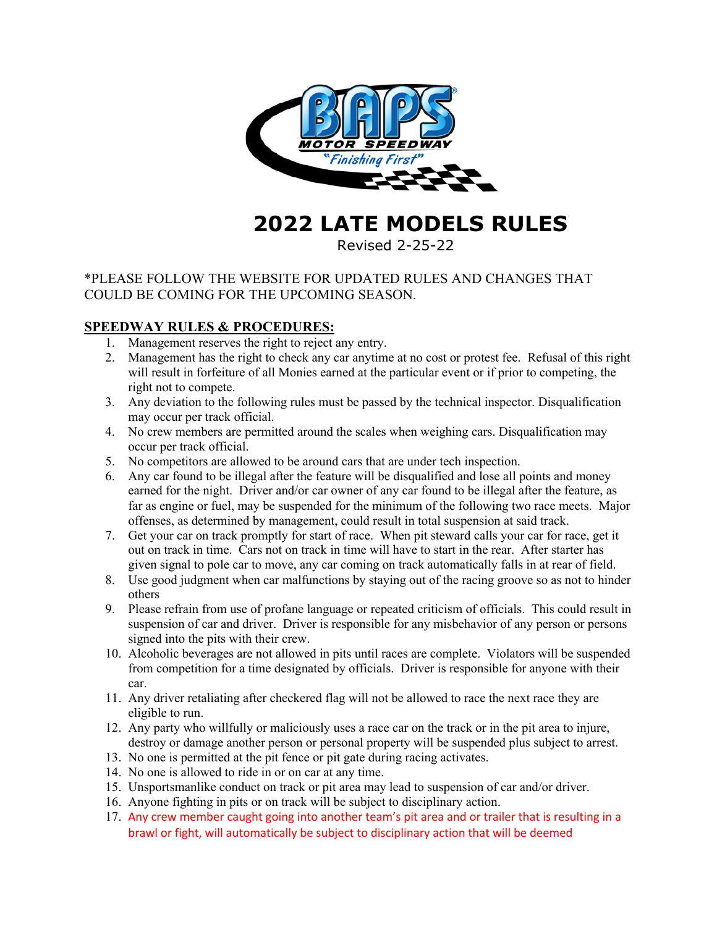

# **2022 LATE MODELS RULES**

Revised 2-25-22

# \*PLEASE FOLLOW THE WEBSITE FOR UPDATED RULES AND CHANGES THAT COULD BE COMING FOR THE UPCOMING SEASON.

# **SPEEDWAY RULES & PROCEDURES:**

- 1. Management reserves the right to reject any entry.
- 2. Management has the right to check any car anytime at no cost or protest fee. Refusal of this right will result in forfeiture of all Monies earned at the particular event or if prior to competing, the right not to compete.
- 3. Any deviation to the following rules must be passed by the technical inspector. Disqualification may occur per track official.
- 4. No crew members are permitted around the scales when weighing cars. Disqualification may occur per track official.
- 5. No competitors are allowed to be around cars that are under tech inspection.
- 6. Any car found to be illegal after the feature will be disqualified and lose all points and money earned for the night. Driver and/or car owner of any car found to be illegal after the feature, as far as engine or fuel, may be suspended for the minimum of the following two race meets. Major offenses, as determined by management, could result in total suspension at said track.
- 7. Get your car on track promptly for start of race. When pit steward calls your car for race, get it out on track in time. Cars not on track in time will have to start in the rear. After starter has given signal to pole car to move, any car coming on track automatically falls in at rear of field.
- 8. Use good judgment when car malfunctions by staying out of the racing groove so as not to hinder others
- 9. Please refrain from use of profane language or repeated criticism of officials. This could result in suspension of car and driver. Driver is responsible for any misbehavior of any person or persons signed into the pits with their crew.
- 10. Alcoholic beverages are not allowed in pits until races are complete. Violators will be suspended from competition for a time designated by officials. Driver is responsible for anyone with their car.
- 11. Any driver retaliating after checkered flag will not be allowed to race the next race they are eligible to run.
- 12. Any party who willfully or maliciously uses a race car on the track or in the pit area to injure, destroy or damage another person or personal property will be suspended plus subject to arrest.
- 13. No one is permitted at the pit fence or pit gate during racing activates.
- 14. No one is allowed to ride in or on car at any time.
- 15. Unsportsmanlike conduct on track or pit area may lead to suspension of car and/or driver.
- 16. Anyone fighting in pits or on track will be subject to disciplinary action.
- 17. Any crew member caught going into another team's pit area and or trailer that is resulting in a brawl or fight, will automatically be subject to disciplinary action that will be deemed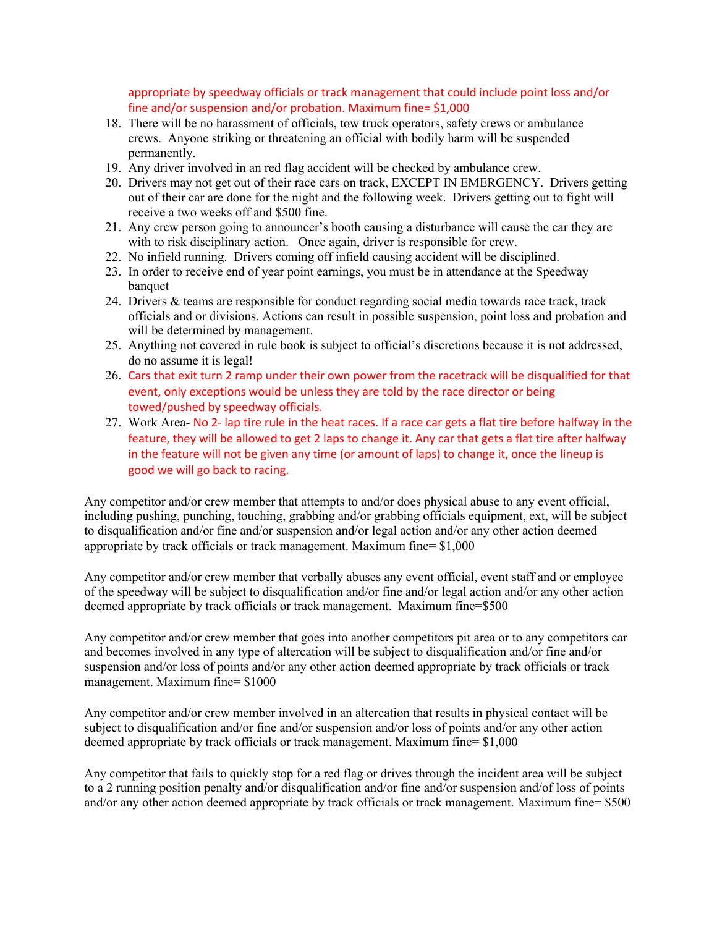appropriate by speedway officials or track management that could include point loss and/or fine and/or suspension and/or probation. Maximum fine= \$1,000

- 18. There will be no harassment of officials, tow truck operators, safety crews or ambulance crews. Anyone striking or threatening an official with bodily harm will be suspended permanently.
- 19. Any driver involved in an red flag accident will be checked by ambulance crew.
- 20. Drivers may not get out of their race cars on track, EXCEPT IN EMERGENCY. Drivers getting out of their car are done for the night and the following week. Drivers getting out to fight will receive a two weeks off and \$500 fine.
- 21. Any crew person going to announcer's booth causing a disturbance will cause the car they are with to risk disciplinary action. Once again, driver is responsible for crew.
- 22. No infield running. Drivers coming off infield causing accident will be disciplined.
- 23. In order to receive end of year point earnings, you must be in attendance at the Speedway banquet
- 24. Drivers & teams are responsible for conduct regarding social media towards race track, track officials and or divisions. Actions can result in possible suspension, point loss and probation and will be determined by management.
- 25. Anything not covered in rule book is subject to official's discretions because it is not addressed, do no assume it is legal!
- 26. Cars that exit turn 2 ramp under their own power from the racetrack will be disqualified for that event, only exceptions would be unless they are told by the race director or being towed/pushed by speedway officials.
- 27. Work Area- No 2- lap tire rule in the heat races. If a race car gets a flat tire before halfway in the feature, they will be allowed to get 2 laps to change it. Any car that gets a flat tire after halfway in the feature will not be given any time (or amount of laps) to change it, once the lineup is good we will go back to racing.

Any competitor and/or crew member that attempts to and/or does physical abuse to any event official, including pushing, punching, touching, grabbing and/or grabbing officials equipment, ext, will be subject to disqualification and/or fine and/or suspension and/or legal action and/or any other action deemed appropriate by track officials or track management. Maximum fine= \$1,000

Any competitor and/or crew member that verbally abuses any event official, event staff and or employee of the speedway will be subject to disqualification and/or fine and/or legal action and/or any other action deemed appropriate by track officials or track management. Maximum fine=\$500

Any competitor and/or crew member that goes into another competitors pit area or to any competitors car and becomes involved in any type of altercation will be subject to disqualification and/or fine and/or suspension and/or loss of points and/or any other action deemed appropriate by track officials or track management. Maximum fine= \$1000

Any competitor and/or crew member involved in an altercation that results in physical contact will be subject to disqualification and/or fine and/or suspension and/or loss of points and/or any other action deemed appropriate by track officials or track management. Maximum fine= \$1,000

Any competitor that fails to quickly stop for a red flag or drives through the incident area will be subject to a 2 running position penalty and/or disqualification and/or fine and/or suspension and/of loss of points and/or any other action deemed appropriate by track officials or track management. Maximum fine= \$500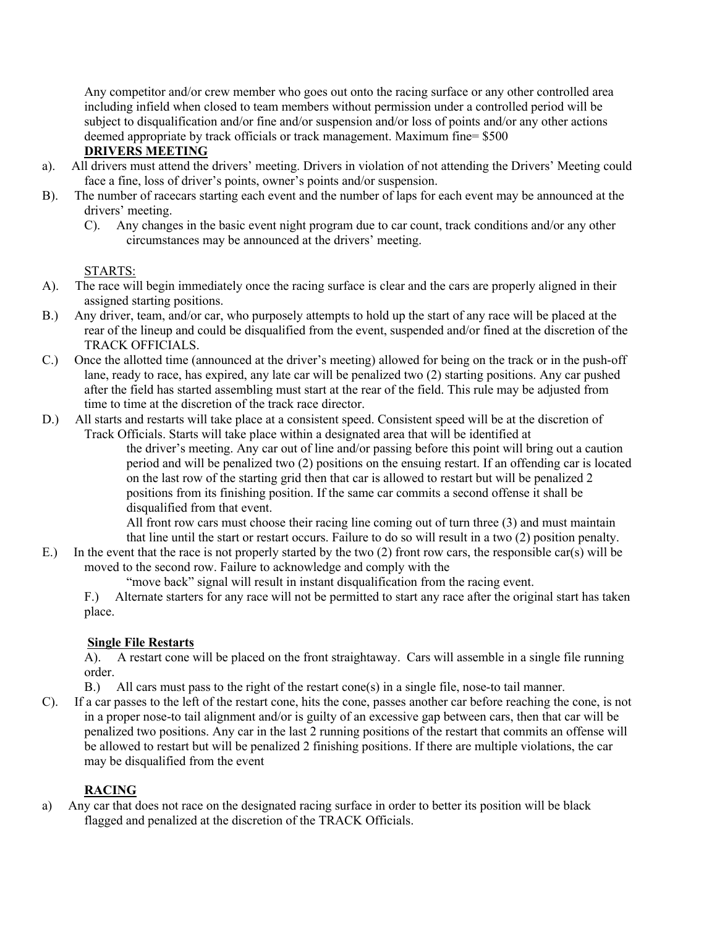Any competitor and/or crew member who goes out onto the racing surface or any other controlled area including infield when closed to team members without permission under a controlled period will be subject to disqualification and/or fine and/or suspension and/or loss of points and/or any other actions deemed appropriate by track officials or track management. Maximum fine= \$500

# **DRIVERS MEETING**

- a). All drivers must attend the drivers' meeting. Drivers in violation of not attending the Drivers' Meeting could face a fine, loss of driver's points, owner's points and/or suspension.
- B). The number of racecars starting each event and the number of laps for each event may be announced at the drivers' meeting.
	- C). Any changes in the basic event night program due to car count, track conditions and/or any other circumstances may be announced at the drivers' meeting.

## STARTS:

- A). The race will begin immediately once the racing surface is clear and the cars are properly aligned in their assigned starting positions.
- B.) Any driver, team, and/or car, who purposely attempts to hold up the start of any race will be placed at the rear of the lineup and could be disqualified from the event, suspended and/or fined at the discretion of the TRACK OFFICIALS.
- C.) Once the allotted time (announced at the driver's meeting) allowed for being on the track or in the push-off lane, ready to race, has expired, any late car will be penalized two (2) starting positions. Any car pushed after the field has started assembling must start at the rear of the field. This rule may be adjusted from time to time at the discretion of the track race director.
- D.) All starts and restarts will take place at a consistent speed. Consistent speed will be at the discretion of Track Officials. Starts will take place within a designated area that will be identified at

the driver's meeting. Any car out of line and/or passing before this point will bring out a caution period and will be penalized two (2) positions on the ensuing restart. If an offending car is located on the last row of the starting grid then that car is allowed to restart but will be penalized 2 positions from its finishing position. If the same car commits a second offense it shall be disqualified from that event.

All front row cars must choose their racing line coming out of turn three (3) and must maintain that line until the start or restart occurs. Failure to do so will result in a two (2) position penalty.

E.) In the event that the race is not properly started by the two (2) front row cars, the responsible car(s) will be moved to the second row. Failure to acknowledge and comply with the

"move back" signal will result in instant disqualification from the racing event.

F.) Alternate starters for any race will not be permitted to start any race after the original start has taken place.

## **Single File Restarts**

A). A restart cone will be placed on the front straightaway. Cars will assemble in a single file running order.

B.) All cars must pass to the right of the restart cone(s) in a single file, nose-to tail manner.

C). If a car passes to the left of the restart cone, hits the cone, passes another car before reaching the cone, is not in a proper nose-to tail alignment and/or is guilty of an excessive gap between cars, then that car will be penalized two positions. Any car in the last 2 running positions of the restart that commits an offense will be allowed to restart but will be penalized 2 finishing positions. If there are multiple violations, the car may be disqualified from the event

## **RACING**

a) Any car that does not race on the designated racing surface in order to better its position will be black flagged and penalized at the discretion of the TRACK Officials.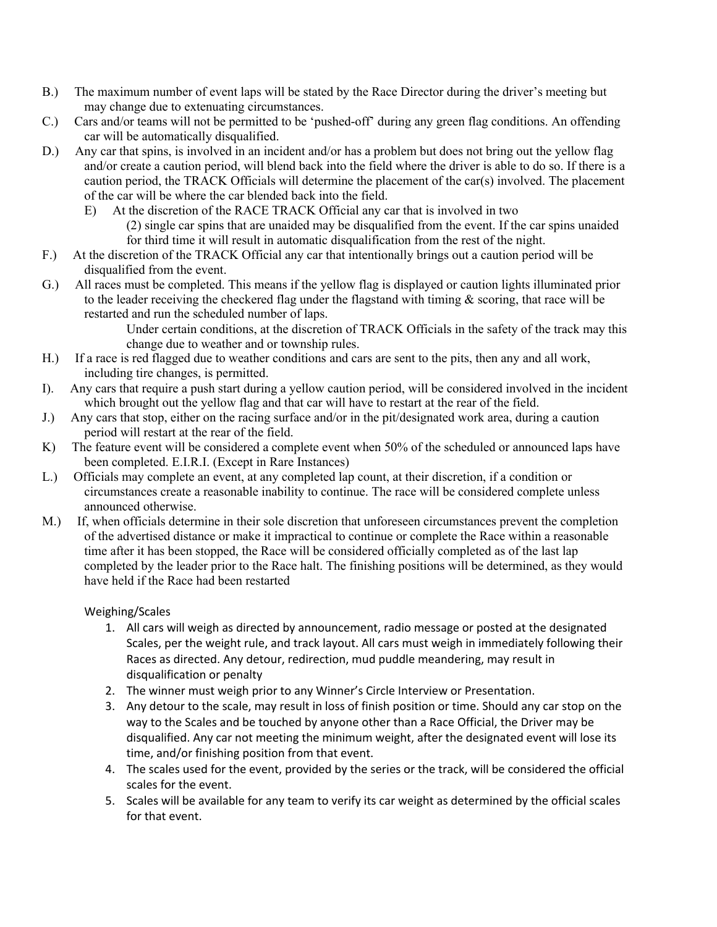- B.) The maximum number of event laps will be stated by the Race Director during the driver's meeting but may change due to extenuating circumstances.
- C.) Cars and/or teams will not be permitted to be 'pushed-off' during any green flag conditions. An offending car will be automatically disqualified.
- D.) Any car that spins, is involved in an incident and/or has a problem but does not bring out the yellow flag and/or create a caution period, will blend back into the field where the driver is able to do so. If there is a caution period, the TRACK Officials will determine the placement of the car(s) involved. The placement of the car will be where the car blended back into the field.
	- E) At the discretion of the RACE TRACK Official any car that is involved in two (2) single car spins that are unaided may be disqualified from the event. If the car spins unaided for third time it will result in automatic disqualification from the rest of the night.
- F.) At the discretion of the TRACK Official any car that intentionally brings out a caution period will be disqualified from the event.
- G.) All races must be completed. This means if the yellow flag is displayed or caution lights illuminated prior to the leader receiving the checkered flag under the flagstand with timing & scoring, that race will be restarted and run the scheduled number of laps.

Under certain conditions, at the discretion of TRACK Officials in the safety of the track may this change due to weather and or township rules.

- H.) If a race is red flagged due to weather conditions and cars are sent to the pits, then any and all work, including tire changes, is permitted.
- I). Any cars that require a push start during a yellow caution period, will be considered involved in the incident which brought out the yellow flag and that car will have to restart at the rear of the field.
- J.) Any cars that stop, either on the racing surface and/or in the pit/designated work area, during a caution period will restart at the rear of the field.
- K) The feature event will be considered a complete event when 50% of the scheduled or announced laps have been completed. E.I.R.I. (Except in Rare Instances)
- L.) Officials may complete an event, at any completed lap count, at their discretion, if a condition or circumstances create a reasonable inability to continue. The race will be considered complete unless announced otherwise.
- M.) If, when officials determine in their sole discretion that unforeseen circumstances prevent the completion of the advertised distance or make it impractical to continue or complete the Race within a reasonable time after it has been stopped, the Race will be considered officially completed as of the last lap completed by the leader prior to the Race halt. The finishing positions will be determined, as they would have held if the Race had been restarted

## Weighing/Scales

- 1. All cars will weigh as directed by announcement, radio message or posted at the designated Scales, per the weight rule, and track layout. All cars must weigh in immediately following their Races as directed. Any detour, redirection, mud puddle meandering, may result in disqualification or penalty
- 2. The winner must weigh prior to any Winner's Circle Interview or Presentation.
- 3. Any detour to the scale, may result in loss of finish position or time. Should any car stop on the way to the Scales and be touched by anyone other than a Race Official, the Driver may be disqualified. Any car not meeting the minimum weight, after the designated event will lose its time, and/or finishing position from that event.
- 4. The scales used for the event, provided by the series or the track, will be considered the official scales for the event.
- 5. Scales will be available for any team to verify its car weight as determined by the official scales for that event.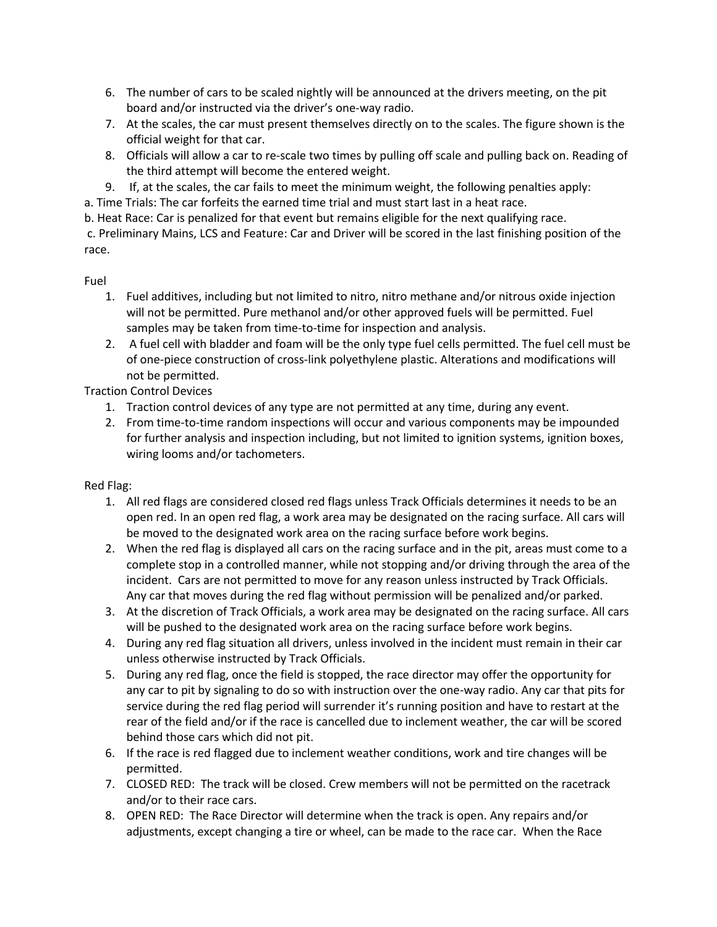- 6. The number of cars to be scaled nightly will be announced at the drivers meeting, on the pit board and/or instructed via the driver's one-way radio.
- 7. At the scales, the car must present themselves directly on to the scales. The figure shown is the official weight for that car.
- 8. Officials will allow a car to re-scale two times by pulling off scale and pulling back on. Reading of the third attempt will become the entered weight.
- 9. If, at the scales, the car fails to meet the minimum weight, the following penalties apply:
- a. Time Trials: The car forfeits the earned time trial and must start last in a heat race.

b. Heat Race: Car is penalized for that event but remains eligible for the next qualifying race.

c. Preliminary Mains, LCS and Feature: Car and Driver will be scored in the last finishing position of the race.

Fuel

- 1. Fuel additives, including but not limited to nitro, nitro methane and/or nitrous oxide injection will not be permitted. Pure methanol and/or other approved fuels will be permitted. Fuel samples may be taken from time-to-time for inspection and analysis.
- 2. A fuel cell with bladder and foam will be the only type fuel cells permitted. The fuel cell must be of one-piece construction of cross-link polyethylene plastic. Alterations and modifications will not be permitted.

Traction Control Devices

- 1. Traction control devices of any type are not permitted at any time, during any event.
- 2. From time-to-time random inspections will occur and various components may be impounded for further analysis and inspection including, but not limited to ignition systems, ignition boxes, wiring looms and/or tachometers.

## Red Flag:

- 1. All red flags are considered closed red flags unless Track Officials determines it needs to be an open red. In an open red flag, a work area may be designated on the racing surface. All cars will be moved to the designated work area on the racing surface before work begins.
- 2. When the red flag is displayed all cars on the racing surface and in the pit, areas must come to a complete stop in a controlled manner, while not stopping and/or driving through the area of the incident. Cars are not permitted to move for any reason unless instructed by Track Officials. Any car that moves during the red flag without permission will be penalized and/or parked.
- 3. At the discretion of Track Officials, a work area may be designated on the racing surface. All cars will be pushed to the designated work area on the racing surface before work begins.
- 4. During any red flag situation all drivers, unless involved in the incident must remain in their car unless otherwise instructed by Track Officials.
- 5. During any red flag, once the field is stopped, the race director may offer the opportunity for any car to pit by signaling to do so with instruction over the one-way radio. Any car that pits for service during the red flag period will surrender it's running position and have to restart at the rear of the field and/or if the race is cancelled due to inclement weather, the car will be scored behind those cars which did not pit.
- 6. If the race is red flagged due to inclement weather conditions, work and tire changes will be permitted.
- 7. CLOSED RED: The track will be closed. Crew members will not be permitted on the racetrack and/or to their race cars.
- 8. OPEN RED: The Race Director will determine when the track is open. Any repairs and/or adjustments, except changing a tire or wheel, can be made to the race car. When the Race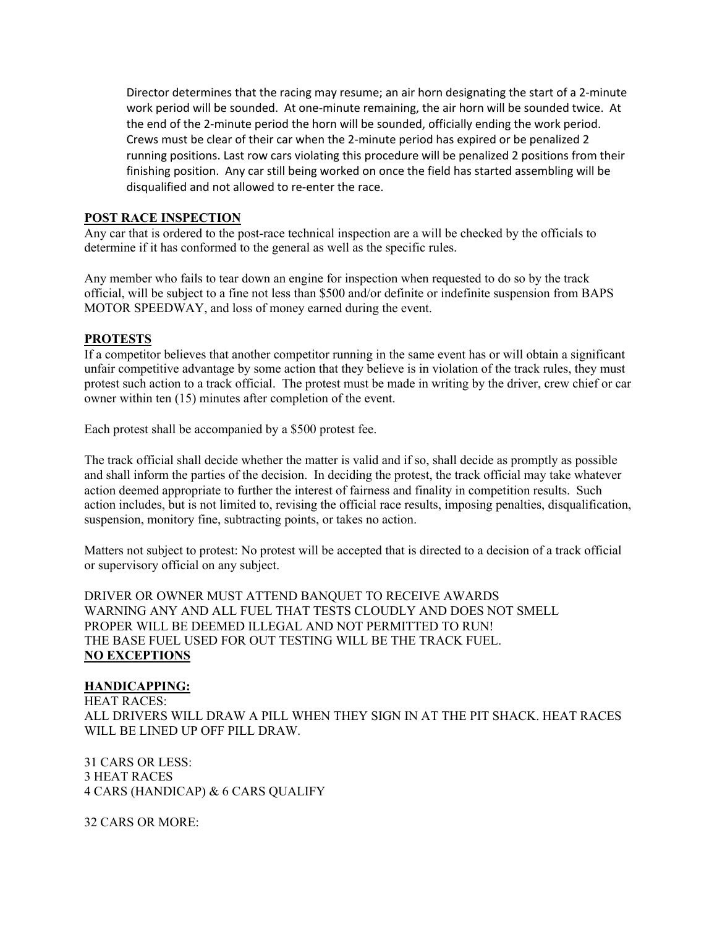Director determines that the racing may resume; an air horn designating the start of a 2-minute work period will be sounded. At one-minute remaining, the air horn will be sounded twice. At the end of the 2-minute period the horn will be sounded, officially ending the work period. Crews must be clear of their car when the 2-minute period has expired or be penalized 2 running positions. Last row cars violating this procedure will be penalized 2 positions from their finishing position. Any car still being worked on once the field has started assembling will be disqualified and not allowed to re-enter the race.

#### **POST RACE INSPECTION**

Any car that is ordered to the post-race technical inspection are a will be checked by the officials to determine if it has conformed to the general as well as the specific rules.

Any member who fails to tear down an engine for inspection when requested to do so by the track official, will be subject to a fine not less than \$500 and/or definite or indefinite suspension from BAPS MOTOR SPEEDWAY, and loss of money earned during the event.

#### **PROTESTS**

If a competitor believes that another competitor running in the same event has or will obtain a significant unfair competitive advantage by some action that they believe is in violation of the track rules, they must protest such action to a track official. The protest must be made in writing by the driver, crew chief or car owner within ten (15) minutes after completion of the event.

Each protest shall be accompanied by a \$500 protest fee.

The track official shall decide whether the matter is valid and if so, shall decide as promptly as possible and shall inform the parties of the decision. In deciding the protest, the track official may take whatever action deemed appropriate to further the interest of fairness and finality in competition results. Such action includes, but is not limited to, revising the official race results, imposing penalties, disqualification, suspension, monitory fine, subtracting points, or takes no action.

Matters not subject to protest: No protest will be accepted that is directed to a decision of a track official or supervisory official on any subject.

DRIVER OR OWNER MUST ATTEND BANQUET TO RECEIVE AWARDS WARNING ANY AND ALL FUEL THAT TESTS CLOUDLY AND DOES NOT SMELL PROPER WILL BE DEEMED ILLEGAL AND NOT PERMITTED TO RUN! THE BASE FUEL USED FOR OUT TESTING WILL BE THE TRACK FUEL. **NO EXCEPTIONS**

#### **HANDICAPPING:**

HEAT RACES: ALL DRIVERS WILL DRAW A PILL WHEN THEY SIGN IN AT THE PIT SHACK. HEAT RACES WILL BE LINED UP OFF PILL DRAW.

31 CARS OR LESS: 3 HEAT RACES 4 CARS (HANDICAP) & 6 CARS QUALIFY

32 CARS OR MORE: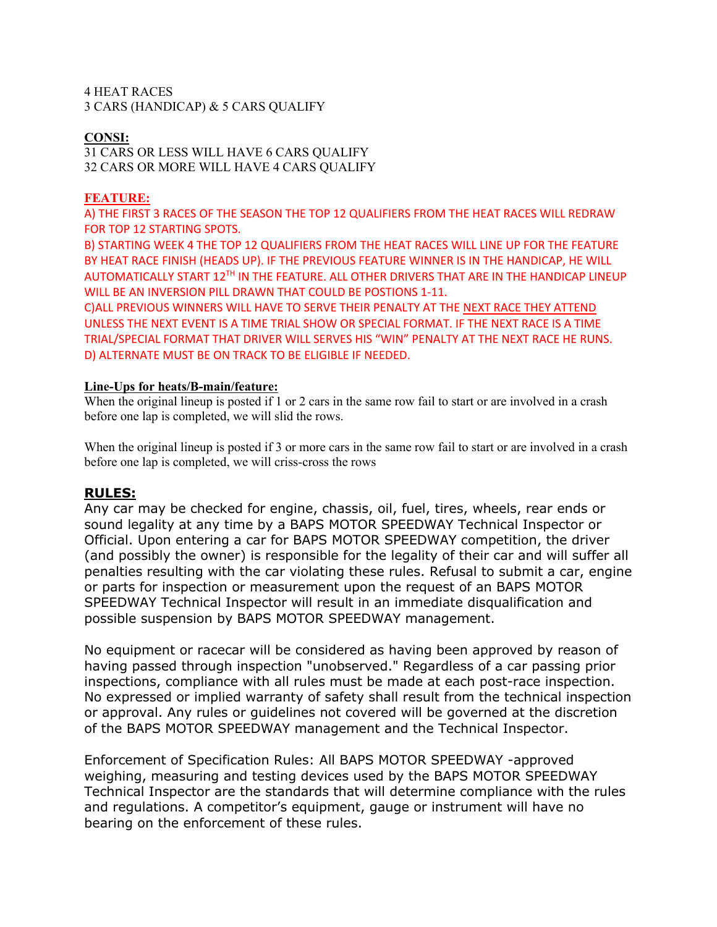4 HEAT RACES 3 CARS (HANDICAP) & 5 CARS QUALIFY

#### **CONSI:**

31 CARS OR LESS WILL HAVE 6 CARS QUALIFY 32 CARS OR MORE WILL HAVE 4 CARS QUALIFY

#### **FEATURE:**

A) THE FIRST 3 RACES OF THE SEASON THE TOP 12 QUALIFIERS FROM THE HEAT RACES WILL REDRAW FOR TOP 12 STARTING SPOTS.

B) STARTING WEEK 4 THE TOP 12 QUALIFIERS FROM THE HEAT RACES WILL LINE UP FOR THE FEATURE BY HEAT RACE FINISH (HEADS UP). IF THE PREVIOUS FEATURE WINNER IS IN THE HANDICAP, HE WILL AUTOMATICALLY START 12TH IN THE FEATURE. ALL OTHER DRIVERS THAT ARE IN THE HANDICAP LINEUP WILL BE AN INVERSION PILL DRAWN THAT COULD BE POSTIONS 1-11.

C)ALL PREVIOUS WINNERS WILL HAVE TO SERVE THEIR PENALTY AT THE NEXT RACE THEY ATTEND UNLESS THE NEXT EVENT IS A TIME TRIAL SHOW OR SPECIAL FORMAT. IF THE NEXT RACE IS A TIME TRIAL/SPECIAL FORMAT THAT DRIVER WILL SERVES HIS "WIN" PENALTY AT THE NEXT RACE HE RUNS. D) ALTERNATE MUST BE ON TRACK TO BE ELIGIBLE IF NEEDED.

#### **Line-Ups for heats/B-main/feature:**

When the original lineup is posted if 1 or 2 cars in the same row fail to start or are involved in a crash before one lap is completed, we will slid the rows.

When the original lineup is posted if 3 or more cars in the same row fail to start or are involved in a crash before one lap is completed, we will criss-cross the rows

#### **RULES:**

Any car may be checked for engine, chassis, oil, fuel, tires, wheels, rear ends or sound legality at any time by a BAPS MOTOR SPEEDWAY Technical Inspector or Official. Upon entering a car for BAPS MOTOR SPEEDWAY competition, the driver (and possibly the owner) is responsible for the legality of their car and will suffer all penalties resulting with the car violating these rules. Refusal to submit a car, engine or parts for inspection or measurement upon the request of an BAPS MOTOR SPEEDWAY Technical Inspector will result in an immediate disqualification and possible suspension by BAPS MOTOR SPEEDWAY management.

No equipment or racecar will be considered as having been approved by reason of having passed through inspection "unobserved." Regardless of a car passing prior inspections, compliance with all rules must be made at each post-race inspection. No expressed or implied warranty of safety shall result from the technical inspection or approval. Any rules or guidelines not covered will be governed at the discretion of the BAPS MOTOR SPEEDWAY management and the Technical Inspector.

Enforcement of Specification Rules: All BAPS MOTOR SPEEDWAY -approved weighing, measuring and testing devices used by the BAPS MOTOR SPEEDWAY Technical Inspector are the standards that will determine compliance with the rules and regulations. A competitor's equipment, gauge or instrument will have no bearing on the enforcement of these rules.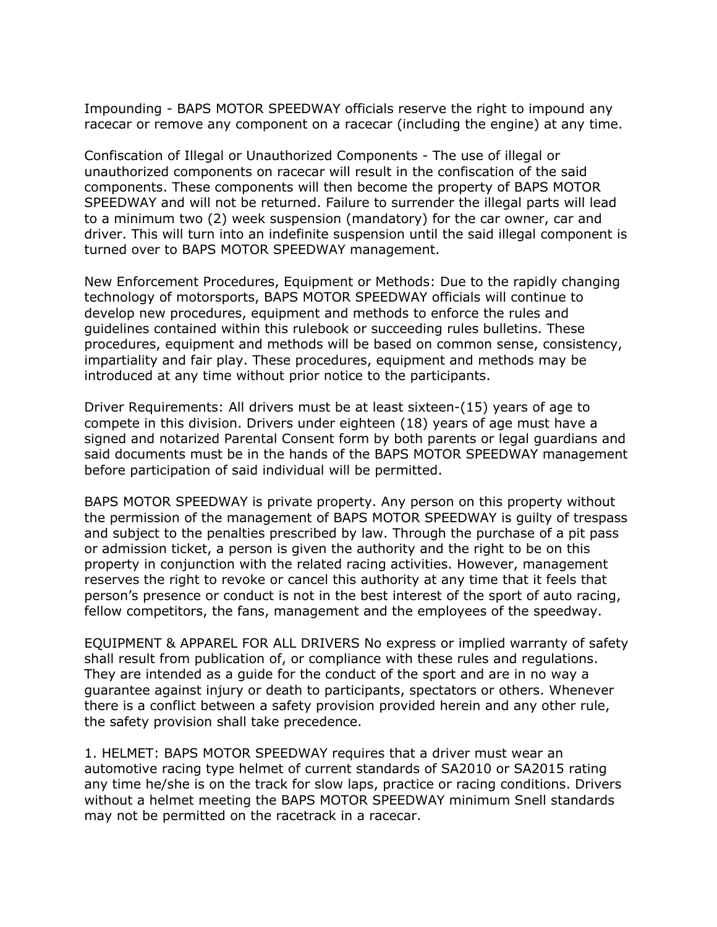Impounding - BAPS MOTOR SPEEDWAY officials reserve the right to impound any racecar or remove any component on a racecar (including the engine) at any time.

Confiscation of Illegal or Unauthorized Components - The use of illegal or unauthorized components on racecar will result in the confiscation of the said components. These components will then become the property of BAPS MOTOR SPEEDWAY and will not be returned. Failure to surrender the illegal parts will lead to a minimum two (2) week suspension (mandatory) for the car owner, car and driver. This will turn into an indefinite suspension until the said illegal component is turned over to BAPS MOTOR SPEEDWAY management.

New Enforcement Procedures, Equipment or Methods: Due to the rapidly changing technology of motorsports, BAPS MOTOR SPEEDWAY officials will continue to develop new procedures, equipment and methods to enforce the rules and guidelines contained within this rulebook or succeeding rules bulletins. These procedures, equipment and methods will be based on common sense, consistency, impartiality and fair play. These procedures, equipment and methods may be introduced at any time without prior notice to the participants.

Driver Requirements: All drivers must be at least sixteen-(15) years of age to compete in this division. Drivers under eighteen (18) years of age must have a signed and notarized Parental Consent form by both parents or legal guardians and said documents must be in the hands of the BAPS MOTOR SPEEDWAY management before participation of said individual will be permitted.

BAPS MOTOR SPEEDWAY is private property. Any person on this property without the permission of the management of BAPS MOTOR SPEEDWAY is guilty of trespass and subject to the penalties prescribed by law. Through the purchase of a pit pass or admission ticket, a person is given the authority and the right to be on this property in conjunction with the related racing activities. However, management reserves the right to revoke or cancel this authority at any time that it feels that person's presence or conduct is not in the best interest of the sport of auto racing, fellow competitors, the fans, management and the employees of the speedway.

EQUIPMENT & APPAREL FOR ALL DRIVERS No express or implied warranty of safety shall result from publication of, or compliance with these rules and regulations. They are intended as a guide for the conduct of the sport and are in no way a guarantee against injury or death to participants, spectators or others. Whenever there is a conflict between a safety provision provided herein and any other rule, the safety provision shall take precedence.

1. HELMET: BAPS MOTOR SPEEDWAY requires that a driver must wear an automotive racing type helmet of current standards of SA2010 or SA2015 rating any time he/she is on the track for slow laps, practice or racing conditions. Drivers without a helmet meeting the BAPS MOTOR SPEEDWAY minimum Snell standards may not be permitted on the racetrack in a racecar.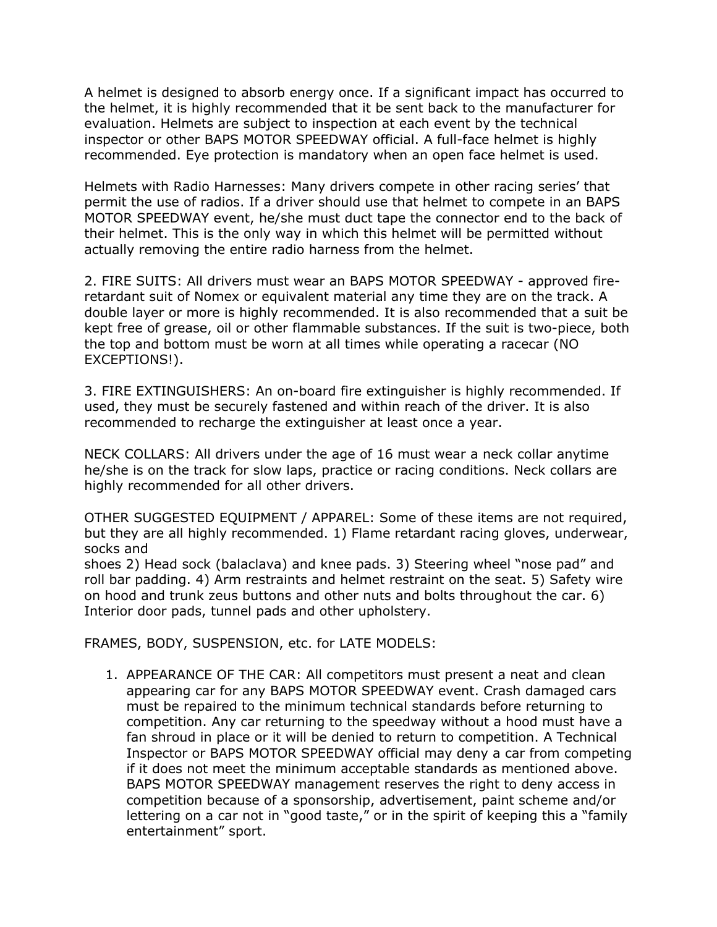A helmet is designed to absorb energy once. If a significant impact has occurred to the helmet, it is highly recommended that it be sent back to the manufacturer for evaluation. Helmets are subject to inspection at each event by the technical inspector or other BAPS MOTOR SPEEDWAY official. A full-face helmet is highly recommended. Eye protection is mandatory when an open face helmet is used.

Helmets with Radio Harnesses: Many drivers compete in other racing series' that permit the use of radios. If a driver should use that helmet to compete in an BAPS MOTOR SPEEDWAY event, he/she must duct tape the connector end to the back of their helmet. This is the only way in which this helmet will be permitted without actually removing the entire radio harness from the helmet.

2. FIRE SUITS: All drivers must wear an BAPS MOTOR SPEEDWAY - approved fireretardant suit of Nomex or equivalent material any time they are on the track. A double layer or more is highly recommended. It is also recommended that a suit be kept free of grease, oil or other flammable substances. If the suit is two-piece, both the top and bottom must be worn at all times while operating a racecar (NO EXCEPTIONS!).

3. FIRE EXTINGUISHERS: An on-board fire extinguisher is highly recommended. If used, they must be securely fastened and within reach of the driver. It is also recommended to recharge the extinguisher at least once a year.

NECK COLLARS: All drivers under the age of 16 must wear a neck collar anytime he/she is on the track for slow laps, practice or racing conditions. Neck collars are highly recommended for all other drivers.

OTHER SUGGESTED EQUIPMENT / APPAREL: Some of these items are not required, but they are all highly recommended. 1) Flame retardant racing gloves, underwear, socks and

shoes 2) Head sock (balaclava) and knee pads. 3) Steering wheel "nose pad" and roll bar padding. 4) Arm restraints and helmet restraint on the seat. 5) Safety wire on hood and trunk zeus buttons and other nuts and bolts throughout the car. 6) Interior door pads, tunnel pads and other upholstery.

FRAMES, BODY, SUSPENSION, etc. for LATE MODELS:

1. APPEARANCE OF THE CAR: All competitors must present a neat and clean appearing car for any BAPS MOTOR SPEEDWAY event. Crash damaged cars must be repaired to the minimum technical standards before returning to competition. Any car returning to the speedway without a hood must have a fan shroud in place or it will be denied to return to competition. A Technical Inspector or BAPS MOTOR SPEEDWAY official may deny a car from competing if it does not meet the minimum acceptable standards as mentioned above. BAPS MOTOR SPEEDWAY management reserves the right to deny access in competition because of a sponsorship, advertisement, paint scheme and/or lettering on a car not in "good taste," or in the spirit of keeping this a "family entertainment" sport.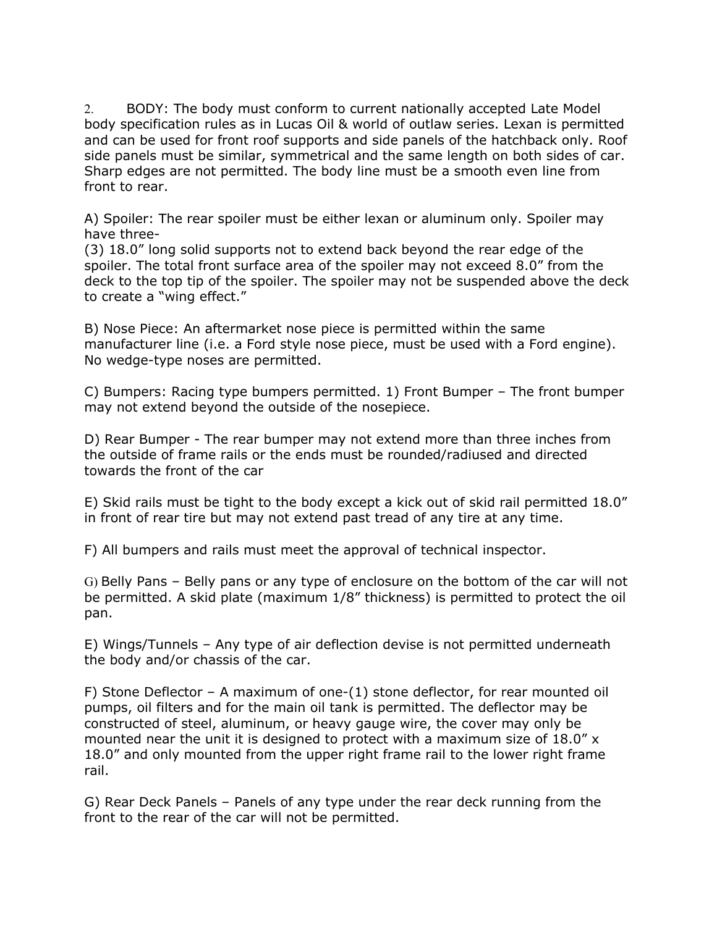2. BODY: The body must conform to current nationally accepted Late Model body specification rules as in Lucas Oil & world of outlaw series. Lexan is permitted and can be used for front roof supports and side panels of the hatchback only. Roof side panels must be similar, symmetrical and the same length on both sides of car. Sharp edges are not permitted. The body line must be a smooth even line from front to rear.

A) Spoiler: The rear spoiler must be either lexan or aluminum only. Spoiler may have three-

(3) 18.0" long solid supports not to extend back beyond the rear edge of the spoiler. The total front surface area of the spoiler may not exceed 8.0" from the deck to the top tip of the spoiler. The spoiler may not be suspended above the deck to create a "wing effect."

B) Nose Piece: An aftermarket nose piece is permitted within the same manufacturer line (i.e. a Ford style nose piece, must be used with a Ford engine). No wedge-type noses are permitted.

C) Bumpers: Racing type bumpers permitted. 1) Front Bumper – The front bumper may not extend beyond the outside of the nosepiece.

D) Rear Bumper - The rear bumper may not extend more than three inches from the outside of frame rails or the ends must be rounded/radiused and directed towards the front of the car

E) Skid rails must be tight to the body except a kick out of skid rail permitted 18.0" in front of rear tire but may not extend past tread of any tire at any time.

F) All bumpers and rails must meet the approval of technical inspector.

G) Belly Pans – Belly pans or any type of enclosure on the bottom of the car will not be permitted. A skid plate (maximum 1/8" thickness) is permitted to protect the oil pan.

E) Wings/Tunnels – Any type of air deflection devise is not permitted underneath the body and/or chassis of the car.

F) Stone Deflector – A maximum of one-(1) stone deflector, for rear mounted oil pumps, oil filters and for the main oil tank is permitted. The deflector may be constructed of steel, aluminum, or heavy gauge wire, the cover may only be mounted near the unit it is designed to protect with a maximum size of 18.0" x 18.0" and only mounted from the upper right frame rail to the lower right frame rail.

G) Rear Deck Panels – Panels of any type under the rear deck running from the front to the rear of the car will not be permitted.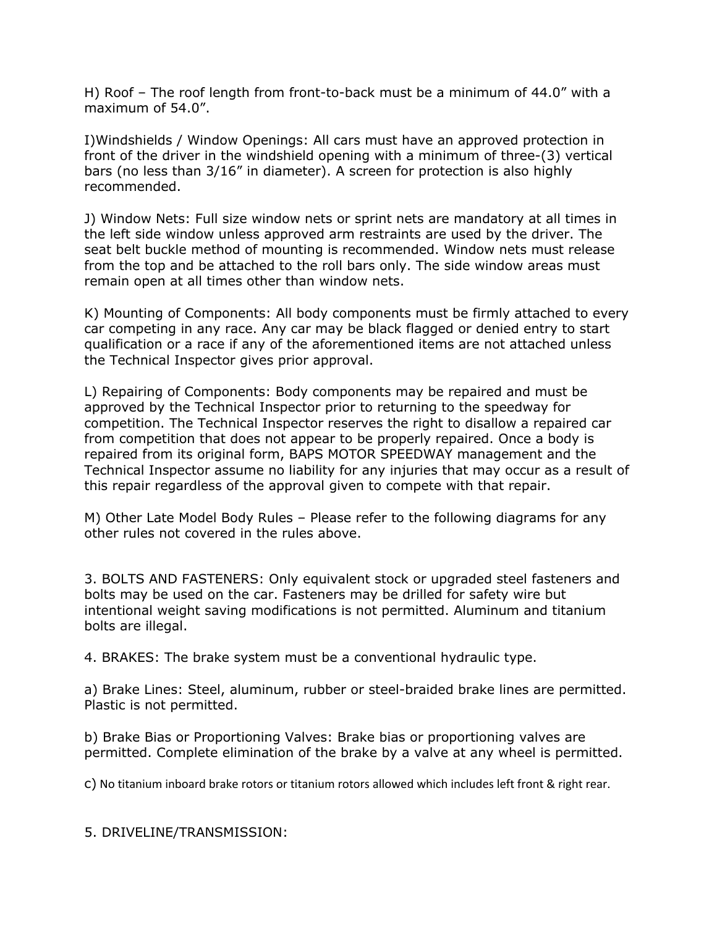H) Roof – The roof length from front-to-back must be a minimum of 44.0" with a maximum of 54.0".

I)Windshields / Window Openings: All cars must have an approved protection in front of the driver in the windshield opening with a minimum of three-(3) vertical bars (no less than 3/16" in diameter). A screen for protection is also highly recommended.

J) Window Nets: Full size window nets or sprint nets are mandatory at all times in the left side window unless approved arm restraints are used by the driver. The seat belt buckle method of mounting is recommended. Window nets must release from the top and be attached to the roll bars only. The side window areas must remain open at all times other than window nets.

K) Mounting of Components: All body components must be firmly attached to every car competing in any race. Any car may be black flagged or denied entry to start qualification or a race if any of the aforementioned items are not attached unless the Technical Inspector gives prior approval.

L) Repairing of Components: Body components may be repaired and must be approved by the Technical Inspector prior to returning to the speedway for competition. The Technical Inspector reserves the right to disallow a repaired car from competition that does not appear to be properly repaired. Once a body is repaired from its original form, BAPS MOTOR SPEEDWAY management and the Technical Inspector assume no liability for any injuries that may occur as a result of this repair regardless of the approval given to compete with that repair.

M) Other Late Model Body Rules – Please refer to the following diagrams for any other rules not covered in the rules above.

3. BOLTS AND FASTENERS: Only equivalent stock or upgraded steel fasteners and bolts may be used on the car. Fasteners may be drilled for safety wire but intentional weight saving modifications is not permitted. Aluminum and titanium bolts are illegal.

4. BRAKES: The brake system must be a conventional hydraulic type.

a) Brake Lines: Steel, aluminum, rubber or steel-braided brake lines are permitted. Plastic is not permitted.

b) Brake Bias or Proportioning Valves: Brake bias or proportioning valves are permitted. Complete elimination of the brake by a valve at any wheel is permitted.

c) No titanium inboard brake rotors or titanium rotors allowed which includes left front & right rear.

5. DRIVELINE/TRANSMISSION: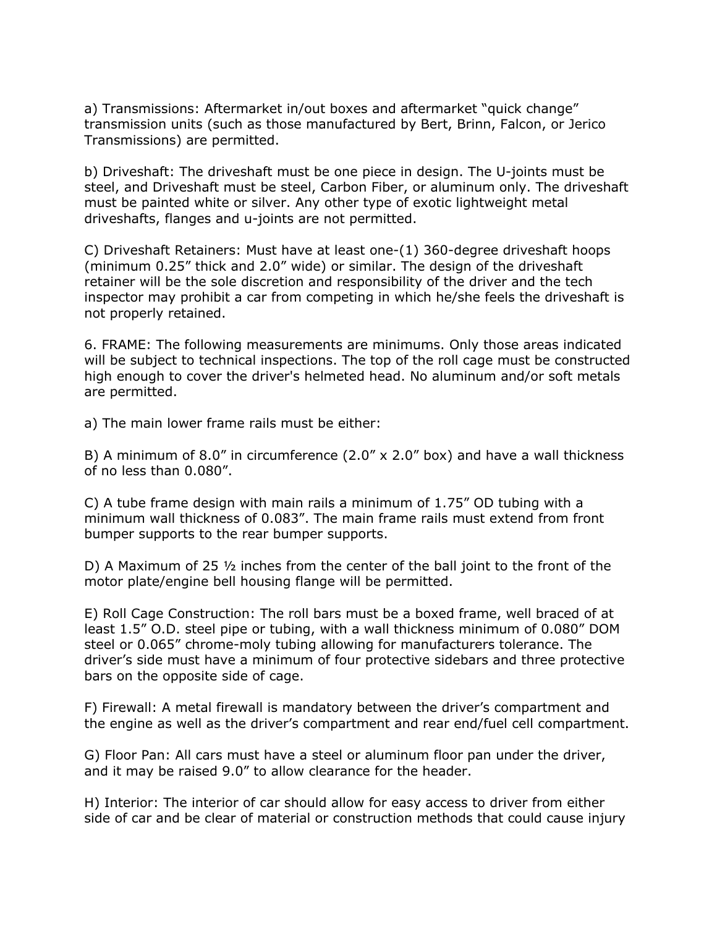a) Transmissions: Aftermarket in/out boxes and aftermarket "quick change" transmission units (such as those manufactured by Bert, Brinn, Falcon, or Jerico Transmissions) are permitted.

b) Driveshaft: The driveshaft must be one piece in design. The U-joints must be steel, and Driveshaft must be steel, Carbon Fiber, or aluminum only. The driveshaft must be painted white or silver. Any other type of exotic lightweight metal driveshafts, flanges and u-joints are not permitted.

C) Driveshaft Retainers: Must have at least one-(1) 360-degree driveshaft hoops (minimum 0.25" thick and 2.0" wide) or similar. The design of the driveshaft retainer will be the sole discretion and responsibility of the driver and the tech inspector may prohibit a car from competing in which he/she feels the driveshaft is not properly retained.

6. FRAME: The following measurements are minimums. Only those areas indicated will be subject to technical inspections. The top of the roll cage must be constructed high enough to cover the driver's helmeted head. No aluminum and/or soft metals are permitted.

a) The main lower frame rails must be either:

B) A minimum of 8.0" in circumference  $(2.0" \times 2.0"$  box) and have a wall thickness of no less than 0.080".

C) A tube frame design with main rails a minimum of 1.75" OD tubing with a minimum wall thickness of 0.083". The main frame rails must extend from front bumper supports to the rear bumper supports.

D) A Maximum of 25 ½ inches from the center of the ball joint to the front of the motor plate/engine bell housing flange will be permitted.

E) Roll Cage Construction: The roll bars must be a boxed frame, well braced of at least 1.5" O.D. steel pipe or tubing, with a wall thickness minimum of 0.080" DOM steel or 0.065" chrome-moly tubing allowing for manufacturers tolerance. The driver's side must have a minimum of four protective sidebars and three protective bars on the opposite side of cage.

F) Firewall: A metal firewall is mandatory between the driver's compartment and the engine as well as the driver's compartment and rear end/fuel cell compartment.

G) Floor Pan: All cars must have a steel or aluminum floor pan under the driver, and it may be raised 9.0" to allow clearance for the header.

H) Interior: The interior of car should allow for easy access to driver from either side of car and be clear of material or construction methods that could cause injury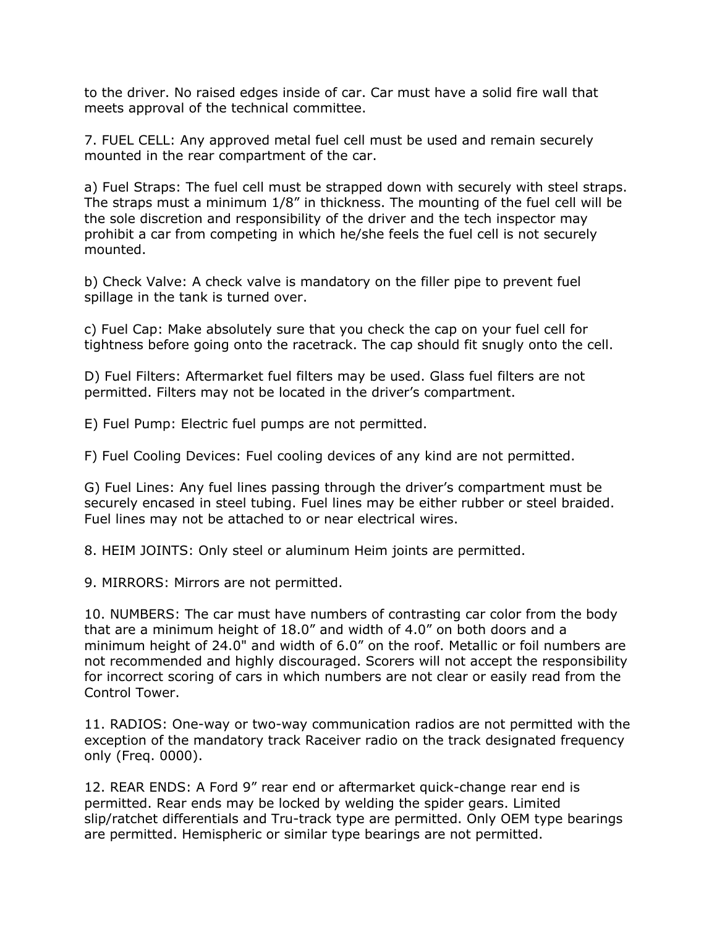to the driver. No raised edges inside of car. Car must have a solid fire wall that meets approval of the technical committee.

7. FUEL CELL: Any approved metal fuel cell must be used and remain securely mounted in the rear compartment of the car.

a) Fuel Straps: The fuel cell must be strapped down with securely with steel straps. The straps must a minimum 1/8" in thickness. The mounting of the fuel cell will be the sole discretion and responsibility of the driver and the tech inspector may prohibit a car from competing in which he/she feels the fuel cell is not securely mounted.

b) Check Valve: A check valve is mandatory on the filler pipe to prevent fuel spillage in the tank is turned over.

c) Fuel Cap: Make absolutely sure that you check the cap on your fuel cell for tightness before going onto the racetrack. The cap should fit snugly onto the cell.

D) Fuel Filters: Aftermarket fuel filters may be used. Glass fuel filters are not permitted. Filters may not be located in the driver's compartment.

E) Fuel Pump: Electric fuel pumps are not permitted.

F) Fuel Cooling Devices: Fuel cooling devices of any kind are not permitted.

G) Fuel Lines: Any fuel lines passing through the driver's compartment must be securely encased in steel tubing. Fuel lines may be either rubber or steel braided. Fuel lines may not be attached to or near electrical wires.

8. HEIM JOINTS: Only steel or aluminum Heim joints are permitted.

9. MIRRORS: Mirrors are not permitted.

10. NUMBERS: The car must have numbers of contrasting car color from the body that are a minimum height of 18.0" and width of 4.0" on both doors and a minimum height of 24.0" and width of 6.0" on the roof. Metallic or foil numbers are not recommended and highly discouraged. Scorers will not accept the responsibility for incorrect scoring of cars in which numbers are not clear or easily read from the Control Tower.

11. RADIOS: One-way or two-way communication radios are not permitted with the exception of the mandatory track Raceiver radio on the track designated frequency only (Freq. 0000).

12. REAR ENDS: A Ford 9" rear end or aftermarket quick-change rear end is permitted. Rear ends may be locked by welding the spider gears. Limited slip/ratchet differentials and Tru-track type are permitted. Only OEM type bearings are permitted. Hemispheric or similar type bearings are not permitted.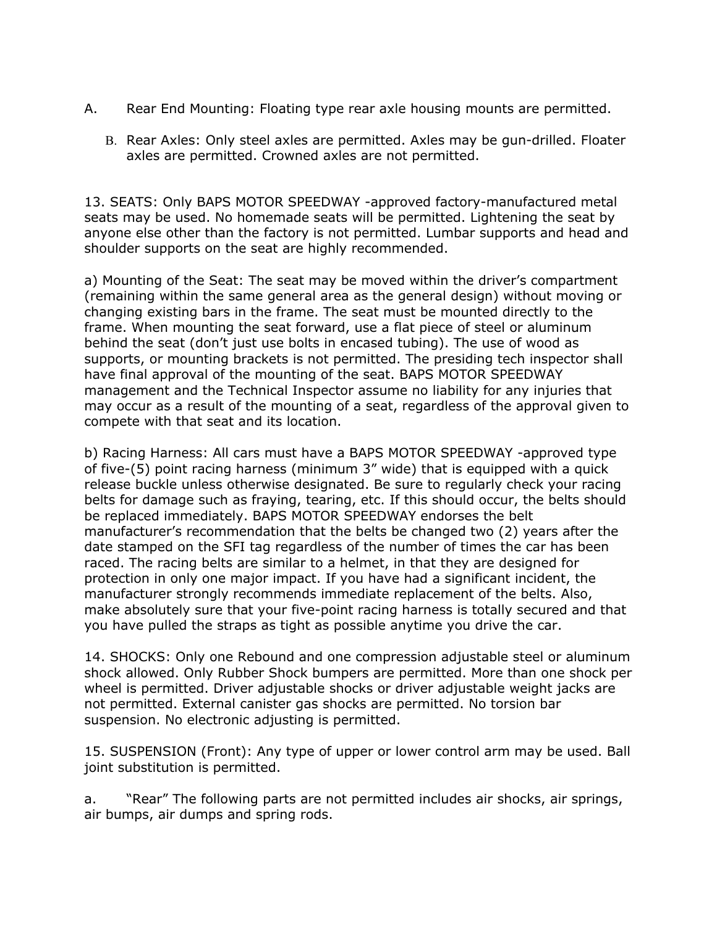- A. Rear End Mounting: Floating type rear axle housing mounts are permitted.
	- B. Rear Axles: Only steel axles are permitted. Axles may be gun-drilled. Floater axles are permitted. Crowned axles are not permitted.

13. SEATS: Only BAPS MOTOR SPEEDWAY -approved factory-manufactured metal seats may be used. No homemade seats will be permitted. Lightening the seat by anyone else other than the factory is not permitted. Lumbar supports and head and shoulder supports on the seat are highly recommended.

a) Mounting of the Seat: The seat may be moved within the driver's compartment (remaining within the same general area as the general design) without moving or changing existing bars in the frame. The seat must be mounted directly to the frame. When mounting the seat forward, use a flat piece of steel or aluminum behind the seat (don't just use bolts in encased tubing). The use of wood as supports, or mounting brackets is not permitted. The presiding tech inspector shall have final approval of the mounting of the seat. BAPS MOTOR SPEEDWAY management and the Technical Inspector assume no liability for any injuries that may occur as a result of the mounting of a seat, regardless of the approval given to compete with that seat and its location.

b) Racing Harness: All cars must have a BAPS MOTOR SPEEDWAY -approved type of five-(5) point racing harness (minimum 3" wide) that is equipped with a quick release buckle unless otherwise designated. Be sure to regularly check your racing belts for damage such as fraying, tearing, etc. If this should occur, the belts should be replaced immediately. BAPS MOTOR SPEEDWAY endorses the belt manufacturer's recommendation that the belts be changed two (2) years after the date stamped on the SFI tag regardless of the number of times the car has been raced. The racing belts are similar to a helmet, in that they are designed for protection in only one major impact. If you have had a significant incident, the manufacturer strongly recommends immediate replacement of the belts. Also, make absolutely sure that your five-point racing harness is totally secured and that you have pulled the straps as tight as possible anytime you drive the car.

14. SHOCKS: Only one Rebound and one compression adjustable steel or aluminum shock allowed. Only Rubber Shock bumpers are permitted. More than one shock per wheel is permitted. Driver adjustable shocks or driver adjustable weight jacks are not permitted. External canister gas shocks are permitted. No torsion bar suspension. No electronic adjusting is permitted.

15. SUSPENSION (Front): Any type of upper or lower control arm may be used. Ball joint substitution is permitted.

a. "Rear" The following parts are not permitted includes air shocks, air springs, air bumps, air dumps and spring rods.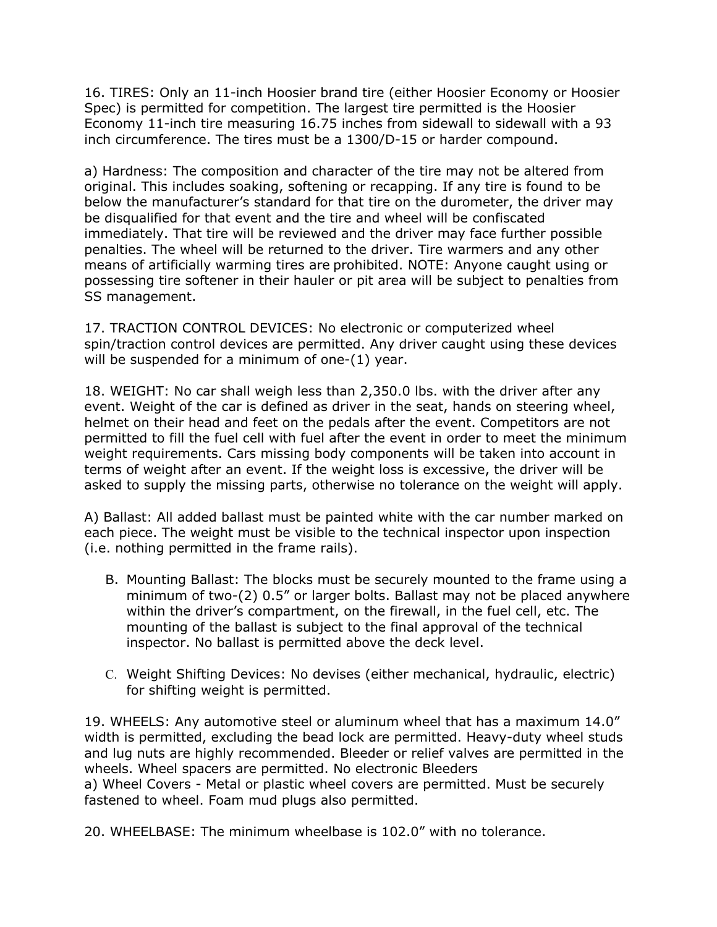16. TIRES: Only an 11-inch Hoosier brand tire (either Hoosier Economy or Hoosier Spec) is permitted for competition. The largest tire permitted is the Hoosier Economy 11-inch tire measuring 16.75 inches from sidewall to sidewall with a 93 inch circumference. The tires must be a 1300/D-15 or harder compound.

a) Hardness: The composition and character of the tire may not be altered from original. This includes soaking, softening or recapping. If any tire is found to be below the manufacturer's standard for that tire on the durometer, the driver may be disqualified for that event and the tire and wheel will be confiscated immediately. That tire will be reviewed and the driver may face further possible penalties. The wheel will be returned to the driver. Tire warmers and any other means of artificially warming tires are prohibited. NOTE: Anyone caught using or possessing tire softener in their hauler or pit area will be subject to penalties from SS management.

17. TRACTION CONTROL DEVICES: No electronic or computerized wheel spin/traction control devices are permitted. Any driver caught using these devices will be suspended for a minimum of one-(1) year.

18. WEIGHT: No car shall weigh less than 2,350.0 lbs. with the driver after any event. Weight of the car is defined as driver in the seat, hands on steering wheel, helmet on their head and feet on the pedals after the event. Competitors are not permitted to fill the fuel cell with fuel after the event in order to meet the minimum weight requirements. Cars missing body components will be taken into account in terms of weight after an event. If the weight loss is excessive, the driver will be asked to supply the missing parts, otherwise no tolerance on the weight will apply.

A) Ballast: All added ballast must be painted white with the car number marked on each piece. The weight must be visible to the technical inspector upon inspection (i.e. nothing permitted in the frame rails).

- B. Mounting Ballast: The blocks must be securely mounted to the frame using a minimum of two-(2) 0.5" or larger bolts. Ballast may not be placed anywhere within the driver's compartment, on the firewall, in the fuel cell, etc. The mounting of the ballast is subject to the final approval of the technical inspector. No ballast is permitted above the deck level.
- C. Weight Shifting Devices: No devises (either mechanical, hydraulic, electric) for shifting weight is permitted.

19. WHEELS: Any automotive steel or aluminum wheel that has a maximum 14.0" width is permitted, excluding the bead lock are permitted. Heavy-duty wheel studs and lug nuts are highly recommended. Bleeder or relief valves are permitted in the wheels. Wheel spacers are permitted. No electronic Bleeders

a) Wheel Covers - Metal or plastic wheel covers are permitted. Must be securely fastened to wheel. Foam mud plugs also permitted.

20. WHEELBASE: The minimum wheelbase is 102.0" with no tolerance.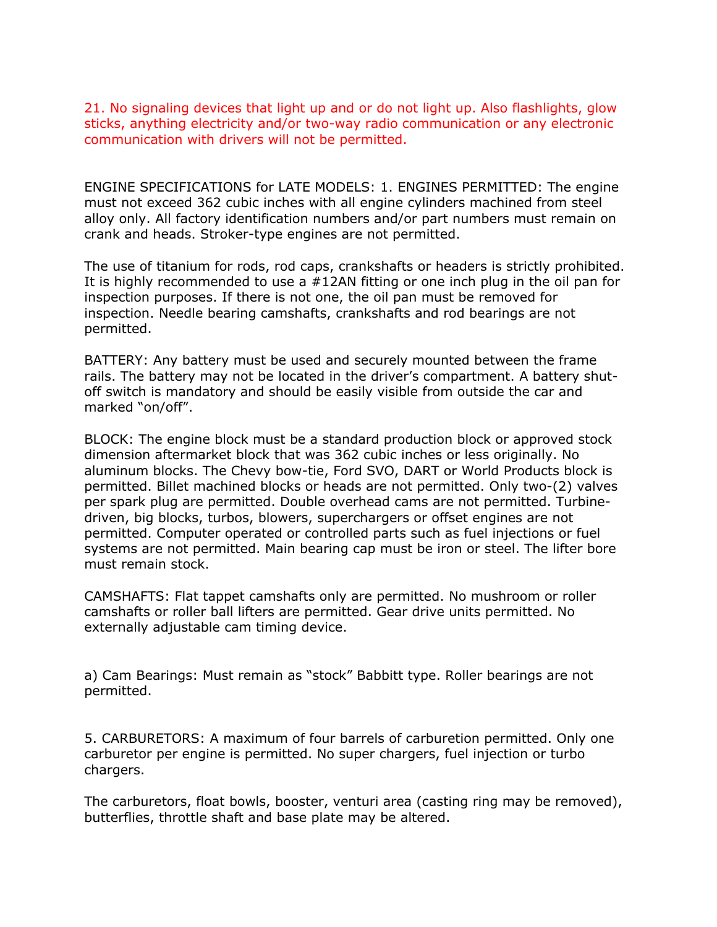21. No signaling devices that light up and or do not light up. Also flashlights, glow sticks, anything electricity and/or two-way radio communication or any electronic communication with drivers will not be permitted.

ENGINE SPECIFICATIONS for LATE MODELS: 1. ENGINES PERMITTED: The engine must not exceed 362 cubic inches with all engine cylinders machined from steel alloy only. All factory identification numbers and/or part numbers must remain on crank and heads. Stroker-type engines are not permitted.

The use of titanium for rods, rod caps, crankshafts or headers is strictly prohibited. It is highly recommended to use a #12AN fitting or one inch plug in the oil pan for inspection purposes. If there is not one, the oil pan must be removed for inspection. Needle bearing camshafts, crankshafts and rod bearings are not permitted.

BATTERY: Any battery must be used and securely mounted between the frame rails. The battery may not be located in the driver's compartment. A battery shutoff switch is mandatory and should be easily visible from outside the car and marked "on/off".

BLOCK: The engine block must be a standard production block or approved stock dimension aftermarket block that was 362 cubic inches or less originally. No aluminum blocks. The Chevy bow-tie, Ford SVO, DART or World Products block is permitted. Billet machined blocks or heads are not permitted. Only two-(2) valves per spark plug are permitted. Double overhead cams are not permitted. Turbinedriven, big blocks, turbos, blowers, superchargers or offset engines are not permitted. Computer operated or controlled parts such as fuel injections or fuel systems are not permitted. Main bearing cap must be iron or steel. The lifter bore must remain stock.

CAMSHAFTS: Flat tappet camshafts only are permitted. No mushroom or roller camshafts or roller ball lifters are permitted. Gear drive units permitted. No externally adjustable cam timing device.

a) Cam Bearings: Must remain as "stock" Babbitt type. Roller bearings are not permitted.

5. CARBURETORS: A maximum of four barrels of carburetion permitted. Only one carburetor per engine is permitted. No super chargers, fuel injection or turbo chargers.

The carburetors, float bowls, booster, venturi area (casting ring may be removed), butterflies, throttle shaft and base plate may be altered.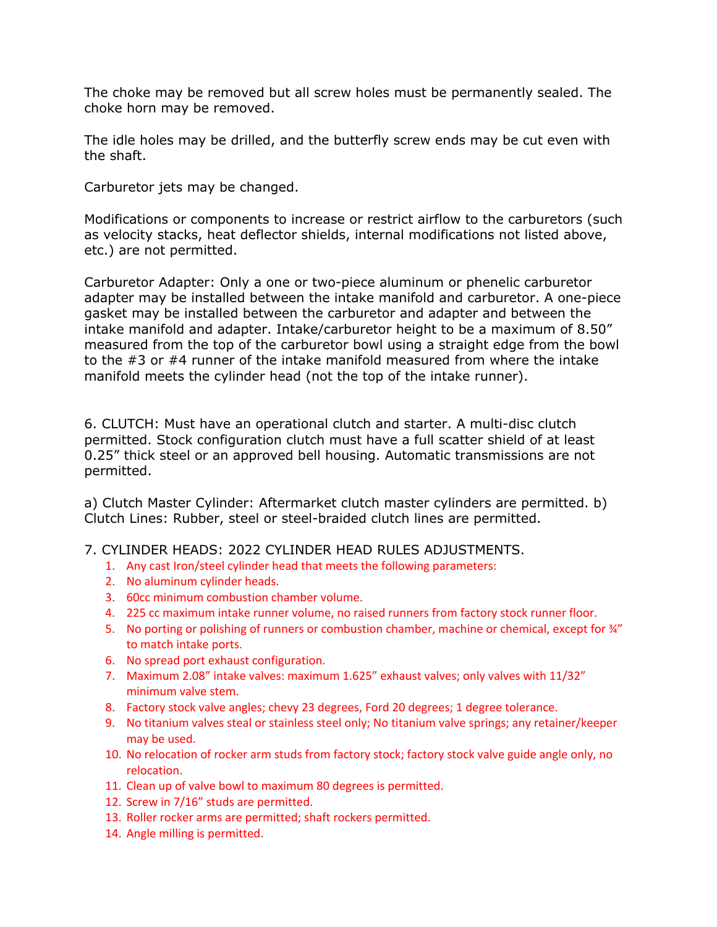The choke may be removed but all screw holes must be permanently sealed. The choke horn may be removed.

The idle holes may be drilled, and the butterfly screw ends may be cut even with the shaft.

Carburetor jets may be changed.

Modifications or components to increase or restrict airflow to the carburetors (such as velocity stacks, heat deflector shields, internal modifications not listed above, etc.) are not permitted.

Carburetor Adapter: Only a one or two-piece aluminum or phenelic carburetor adapter may be installed between the intake manifold and carburetor. A one-piece gasket may be installed between the carburetor and adapter and between the intake manifold and adapter. Intake/carburetor height to be a maximum of 8.50" measured from the top of the carburetor bowl using a straight edge from the bowl to the #3 or #4 runner of the intake manifold measured from where the intake manifold meets the cylinder head (not the top of the intake runner).

6. CLUTCH: Must have an operational clutch and starter. A multi-disc clutch permitted. Stock configuration clutch must have a full scatter shield of at least 0.25" thick steel or an approved bell housing. Automatic transmissions are not permitted.

a) Clutch Master Cylinder: Aftermarket clutch master cylinders are permitted. b) Clutch Lines: Rubber, steel or steel-braided clutch lines are permitted.

# 7. CYLINDER HEADS: 2022 CYLINDER HEAD RULES ADJUSTMENTS.

- 1. Any cast Iron/steel cylinder head that meets the following parameters:
- 2. No aluminum cylinder heads.
- 3. 60cc minimum combustion chamber volume.
- 4. 225 cc maximum intake runner volume, no raised runners from factory stock runner floor.
- 5. No porting or polishing of runners or combustion chamber, machine or chemical, except for  $\frac{3}{4}$ " to match intake ports.
- 6. No spread port exhaust configuration.
- 7. Maximum 2.08" intake valves: maximum 1.625" exhaust valves; only valves with 11/32" minimum valve stem.
- 8. Factory stock valve angles; chevy 23 degrees, Ford 20 degrees; 1 degree tolerance.
- 9. No titanium valves steal or stainless steel only; No titanium valve springs; any retainer/keeper may be used.
- 10. No relocation of rocker arm studs from factory stock; factory stock valve guide angle only, no relocation.
- 11. Clean up of valve bowl to maximum 80 degrees is permitted.
- 12. Screw in 7/16" studs are permitted.
- 13. Roller rocker arms are permitted; shaft rockers permitted.
- 14. Angle milling is permitted.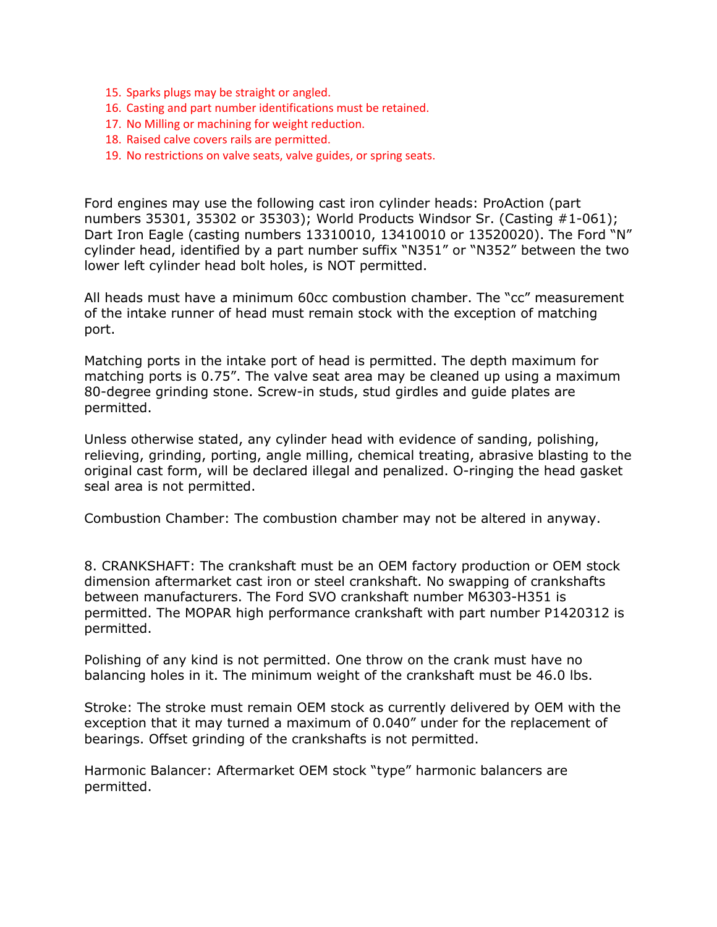- 15. Sparks plugs may be straight or angled.
- 16. Casting and part number identifications must be retained.
- 17. No Milling or machining for weight reduction.
- 18. Raised calve covers rails are permitted.
- 19. No restrictions on valve seats, valve guides, or spring seats.

Ford engines may use the following cast iron cylinder heads: ProAction (part numbers 35301, 35302 or 35303); World Products Windsor Sr. (Casting #1-061); Dart Iron Eagle (casting numbers 13310010, 13410010 or 13520020). The Ford "N" cylinder head, identified by a part number suffix "N351" or "N352" between the two lower left cylinder head bolt holes, is NOT permitted.

All heads must have a minimum 60cc combustion chamber. The "cc" measurement of the intake runner of head must remain stock with the exception of matching port.

Matching ports in the intake port of head is permitted. The depth maximum for matching ports is 0.75". The valve seat area may be cleaned up using a maximum 80-degree grinding stone. Screw-in studs, stud girdles and guide plates are permitted.

Unless otherwise stated, any cylinder head with evidence of sanding, polishing, relieving, grinding, porting, angle milling, chemical treating, abrasive blasting to the original cast form, will be declared illegal and penalized. O-ringing the head gasket seal area is not permitted.

Combustion Chamber: The combustion chamber may not be altered in anyway.

8. CRANKSHAFT: The crankshaft must be an OEM factory production or OEM stock dimension aftermarket cast iron or steel crankshaft. No swapping of crankshafts between manufacturers. The Ford SVO crankshaft number M6303-H351 is permitted. The MOPAR high performance crankshaft with part number P1420312 is permitted.

Polishing of any kind is not permitted. One throw on the crank must have no balancing holes in it. The minimum weight of the crankshaft must be 46.0 lbs.

Stroke: The stroke must remain OEM stock as currently delivered by OEM with the exception that it may turned a maximum of 0.040" under for the replacement of bearings. Offset grinding of the crankshafts is not permitted.

Harmonic Balancer: Aftermarket OEM stock "type" harmonic balancers are permitted.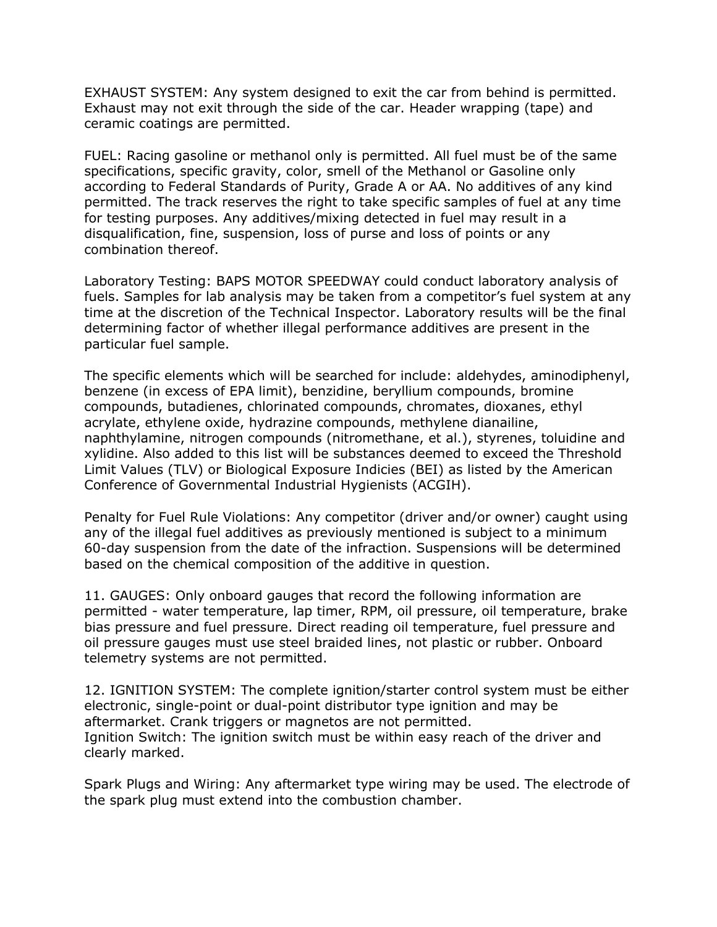EXHAUST SYSTEM: Any system designed to exit the car from behind is permitted. Exhaust may not exit through the side of the car. Header wrapping (tape) and ceramic coatings are permitted.

FUEL: Racing gasoline or methanol only is permitted. All fuel must be of the same specifications, specific gravity, color, smell of the Methanol or Gasoline only according to Federal Standards of Purity, Grade A or AA. No additives of any kind permitted. The track reserves the right to take specific samples of fuel at any time for testing purposes. Any additives/mixing detected in fuel may result in a disqualification, fine, suspension, loss of purse and loss of points or any combination thereof.

Laboratory Testing: BAPS MOTOR SPEEDWAY could conduct laboratory analysis of fuels. Samples for lab analysis may be taken from a competitor's fuel system at any time at the discretion of the Technical Inspector. Laboratory results will be the final determining factor of whether illegal performance additives are present in the particular fuel sample.

The specific elements which will be searched for include: aldehydes, aminodiphenyl, benzene (in excess of EPA limit), benzidine, beryllium compounds, bromine compounds, butadienes, chlorinated compounds, chromates, dioxanes, ethyl acrylate, ethylene oxide, hydrazine compounds, methylene dianailine, naphthylamine, nitrogen compounds (nitromethane, et al.), styrenes, toluidine and xylidine. Also added to this list will be substances deemed to exceed the Threshold Limit Values (TLV) or Biological Exposure Indicies (BEI) as listed by the American Conference of Governmental Industrial Hygienists (ACGIH).

Penalty for Fuel Rule Violations: Any competitor (driver and/or owner) caught using any of the illegal fuel additives as previously mentioned is subject to a minimum 60-day suspension from the date of the infraction. Suspensions will be determined based on the chemical composition of the additive in question.

11. GAUGES: Only onboard gauges that record the following information are permitted - water temperature, lap timer, RPM, oil pressure, oil temperature, brake bias pressure and fuel pressure. Direct reading oil temperature, fuel pressure and oil pressure gauges must use steel braided lines, not plastic or rubber. Onboard telemetry systems are not permitted.

12. IGNITION SYSTEM: The complete ignition/starter control system must be either electronic, single-point or dual-point distributor type ignition and may be aftermarket. Crank triggers or magnetos are not permitted. Ignition Switch: The ignition switch must be within easy reach of the driver and clearly marked.

Spark Plugs and Wiring: Any aftermarket type wiring may be used. The electrode of the spark plug must extend into the combustion chamber.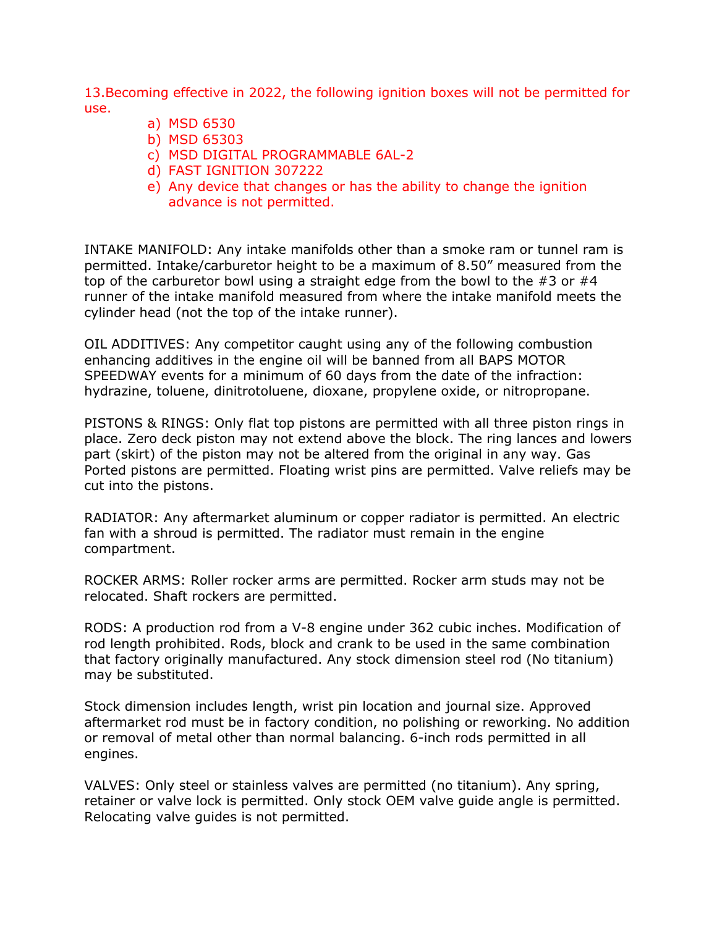13.Becoming effective in 2022, the following ignition boxes will not be permitted for use.

- a) MSD 6530
- b) MSD 65303
- c) MSD DIGITAL PROGRAMMABLE 6AL-2
- d) FAST IGNITION 307222
- e) Any device that changes or has the ability to change the ignition advance is not permitted.

INTAKE MANIFOLD: Any intake manifolds other than a smoke ram or tunnel ram is permitted. Intake/carburetor height to be a maximum of 8.50" measured from the top of the carburetor bowl using a straight edge from the bowl to the #3 or #4 runner of the intake manifold measured from where the intake manifold meets the cylinder head (not the top of the intake runner).

OIL ADDITIVES: Any competitor caught using any of the following combustion enhancing additives in the engine oil will be banned from all BAPS MOTOR SPEEDWAY events for a minimum of 60 days from the date of the infraction: hydrazine, toluene, dinitrotoluene, dioxane, propylene oxide, or nitropropane.

PISTONS & RINGS: Only flat top pistons are permitted with all three piston rings in place. Zero deck piston may not extend above the block. The ring lances and lowers part (skirt) of the piston may not be altered from the original in any way. Gas Ported pistons are permitted. Floating wrist pins are permitted. Valve reliefs may be cut into the pistons.

RADIATOR: Any aftermarket aluminum or copper radiator is permitted. An electric fan with a shroud is permitted. The radiator must remain in the engine compartment.

ROCKER ARMS: Roller rocker arms are permitted. Rocker arm studs may not be relocated. Shaft rockers are permitted.

RODS: A production rod from a V-8 engine under 362 cubic inches. Modification of rod length prohibited. Rods, block and crank to be used in the same combination that factory originally manufactured. Any stock dimension steel rod (No titanium) may be substituted.

Stock dimension includes length, wrist pin location and journal size. Approved aftermarket rod must be in factory condition, no polishing or reworking. No addition or removal of metal other than normal balancing. 6-inch rods permitted in all engines.

VALVES: Only steel or stainless valves are permitted (no titanium). Any spring, retainer or valve lock is permitted. Only stock OEM valve guide angle is permitted. Relocating valve guides is not permitted.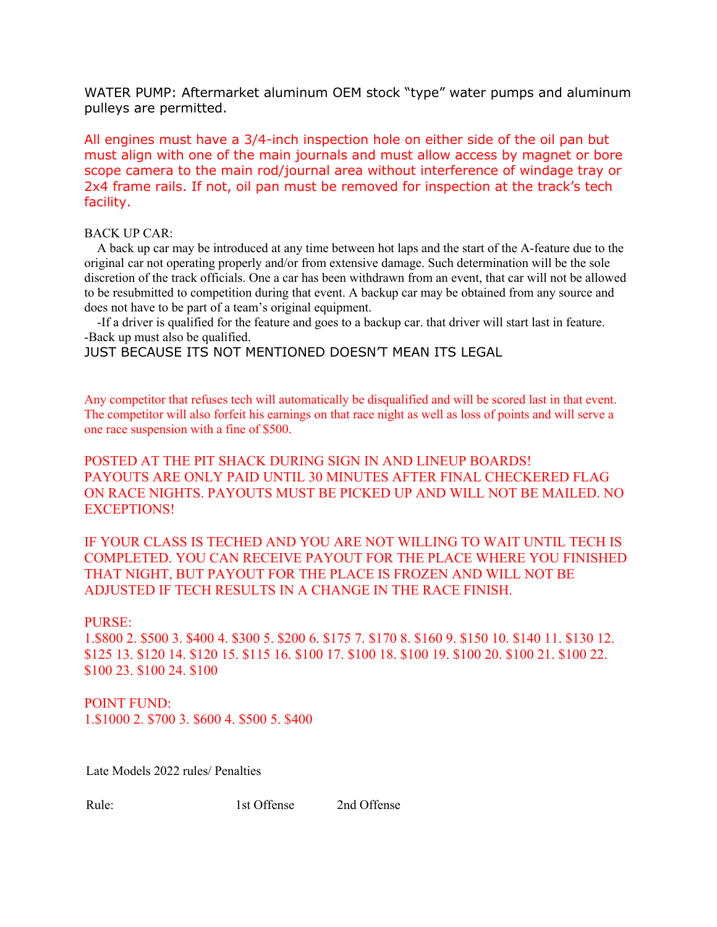WATER PUMP: Aftermarket aluminum OEM stock "type" water pumps and aluminum pulleys are permitted.

All engines must have a 3/4-inch inspection hole on either side of the oil pan but must align with one of the main journals and must allow access by magnet or bore scope camera to the main rod/journal area without interference of windage tray or 2x4 frame rails. If not, oil pan must be removed for inspection at the track's tech facility.

#### BACK UP CAR:

 A back up car may be introduced at any time between hot laps and the start of the A-feature due to the original car not operating properly and/or from extensive damage. Such determination will be the sole discretion of the track officials. One a car has been withdrawn from an event, that car will not be allowed to be resubmitted to competition during that event. A backup car may be obtained from any source and does not have to be part of a team's original equipment.

 -If a driver is qualified for the feature and goes to a backup car. that driver will start last in feature. -Back up must also be qualified.

JUST BECAUSE ITS NOT MENTIONED DOESN'T MEAN ITS LEGAL

Any competitor that refuses tech will automatically be disqualified and will be scored last in that event. The competitor will also forfeit his earnings on that race night as well as loss of points and will serve a one race suspension with a fine of \$500.

POSTED AT THE PIT SHACK DURING SIGN IN AND LINEUP BOARDS! PAYOUTS ARE ONLY PAID UNTIL 30 MINUTES AFTER FINAL CHECKERED FLAG ON RACE NIGHTS. PAYOUTS MUST BE PICKED UP AND WILL NOT BE MAILED. NO EXCEPTIONS!

IF YOUR CLASS IS TECHED AND YOU ARE NOT WILLING TO WAIT UNTIL TECH IS COMPLETED. YOU CAN RECEIVE PAYOUT FOR THE PLACE WHERE YOU FINISHED THAT NIGHT, BUT PAYOUT FOR THE PLACE IS FROZEN AND WILL NOT BE ADJUSTED IF TECH RESULTS IN A CHANGE IN THE RACE FINISH.

#### PURSE:

1.\$800 2. \$500 3. \$400 4. \$300 5. \$200 6. \$175 7. \$170 8. \$160 9. \$150 10. \$140 11. \$130 12. \$125 13. \$120 14. \$120 15. \$115 16. \$100 17. \$100 18. \$100 19. \$100 20. \$100 21. \$100 22. \$100 23. \$100 24. \$100

POINT FUND: 1.\$1000 2. \$700 3. \$600 4. \$500 5. \$400

Late Models 2022 rules/ Penalties

Rule: 1st Offense 2nd Offense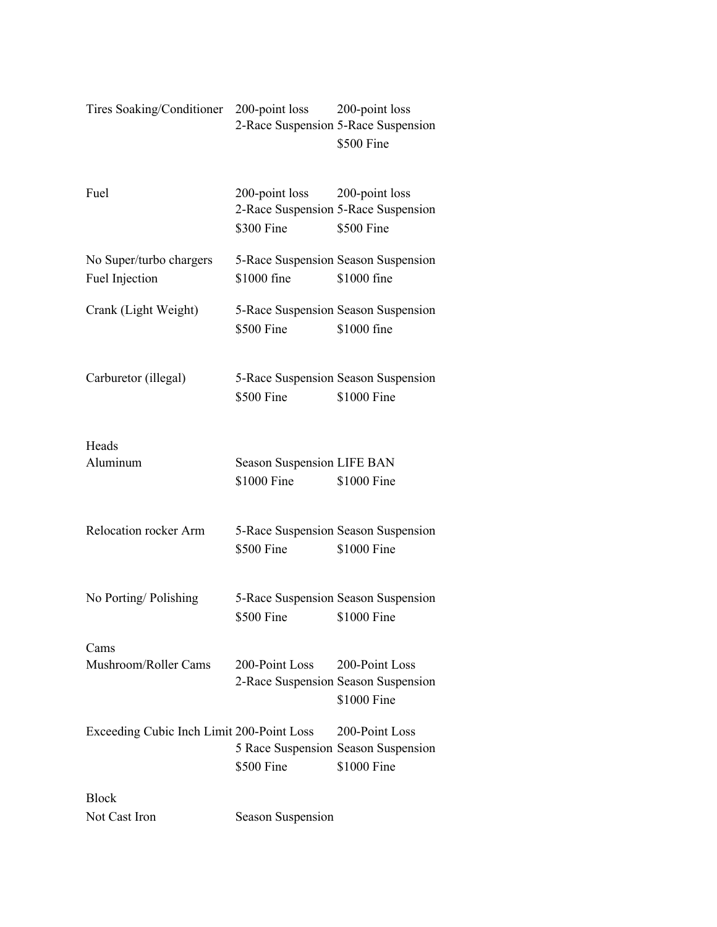# Tires Soaking/Conditioner 200-point loss 200-point loss 2-Race Suspension 5-Race Suspension \$500 Fine

| Fuel                                      | 200-point loss 200-point loss<br>\$300 Fine | 2-Race Suspension 5-Race Suspension<br>\$500 Fine                    |
|-------------------------------------------|---------------------------------------------|----------------------------------------------------------------------|
| No Super/turbo chargers<br>Fuel Injection | \$1000 fine                                 | 5-Race Suspension Season Suspension<br>\$1000 fine                   |
| Crank (Light Weight)                      | \$500 Fine                                  | 5-Race Suspension Season Suspension<br>\$1000 fine                   |
| Carburetor (illegal)                      | \$500 Fine                                  | 5-Race Suspension Season Suspension<br>\$1000 Fine                   |
| Heads<br>Aluminum                         | Season Suspension LIFE BAN<br>\$1000 Fine   | \$1000 Fine                                                          |
| Relocation rocker Arm                     | \$500 Fine                                  | 5-Race Suspension Season Suspension<br>\$1000 Fine                   |
| No Porting/Polishing                      | \$500 Fine                                  | 5-Race Suspension Season Suspension<br>\$1000 Fine                   |
| Cams<br>Mushroom/Roller Cams              | 200-Point Loss                              | 200-Point Loss<br>2-Race Suspension Season Suspension<br>\$1000 Fine |
| Exceeding Cubic Inch Limit 200-Point Loss | \$500 Fine                                  | 200-Point Loss<br>5 Race Suspension Season Suspension<br>\$1000 Fine |
| <b>Block</b>                              |                                             |                                                                      |
| Not Cast Iron                             | Season Suspension                           |                                                                      |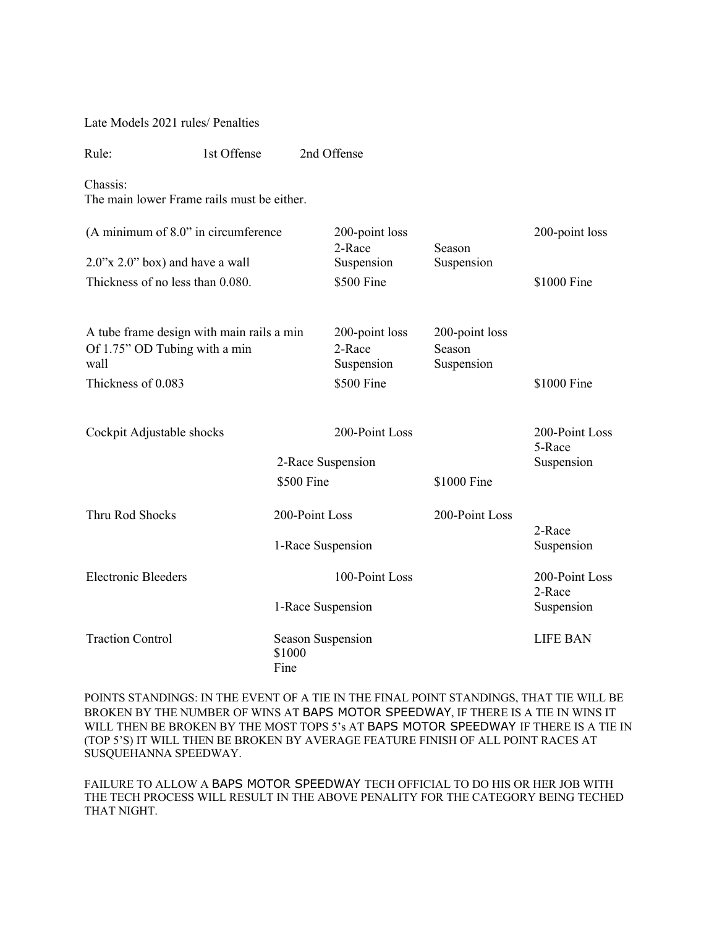Late Models 2021 rules/ Penalties

Rule: 1st Offense 2nd Offense Chassis: The main lower Frame rails must be either. (A minimum of 8.0" in circumference 200-point loss 200-point loss 2.0"x 2.0" box) and have a wall 2-Race Suspension Season Suspension Thickness of no less than 0.080. \$500 Fine \$1000 Fine \$1000 Fine A tube frame design with main rails a min 200-point loss 200-point loss Of 1.75" OD Tubing with a min wall 2-Race Suspension Season Suspension Thickness of 0.083 \$500 Fine \$1000 Fine \$1000 Fine Cockpit Adjustable shocks 200-Point Loss 200-Point Loss 2-Race Suspension 5-Race Suspension \$500 Fine \$1000 Fine Thru Rod Shocks 200-Point Loss 200-Point Loss 1-Race Suspension 2-Race Suspension Electronic Bleeders 100-Point Loss 200-Point Loss 1-Race Suspension 2-Race Suspension Traction Control Season Suspension LIFE BAN \$1000 Fine

POINTS STANDINGS: IN THE EVENT OF A TIE IN THE FINAL POINT STANDINGS, THAT TIE WILL BE BROKEN BY THE NUMBER OF WINS AT BAPS MOTOR SPEEDWAY, IF THERE IS A TIE IN WINS IT WILL THEN BE BROKEN BY THE MOST TOPS 5's AT BAPS MOTOR SPEEDWAY IF THERE IS A TIE IN (TOP 5'S) IT WILL THEN BE BROKEN BY AVERAGE FEATURE FINISH OF ALL POINT RACES AT SUSQUEHANNA SPEEDWAY.

FAILURE TO ALLOW A BAPS MOTOR SPEEDWAY TECH OFFICIAL TO DO HIS OR HER JOB WITH THE TECH PROCESS WILL RESULT IN THE ABOVE PENALITY FOR THE CATEGORY BEING TECHED THAT NIGHT.